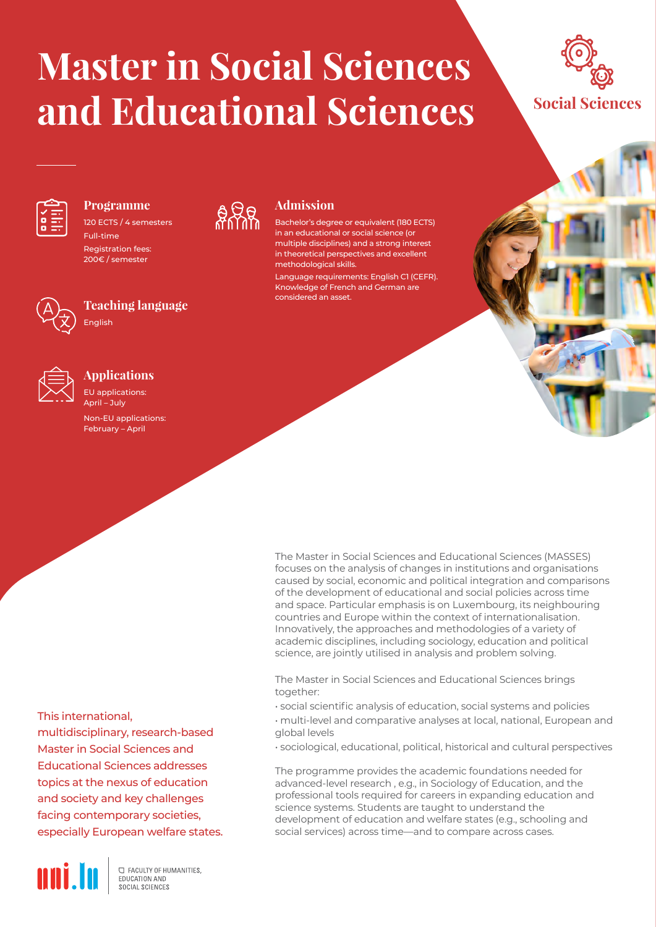# **Master in Social Sciences and Educational Sciences**

a Ra

**Admission**

methodological skills.

considered an asset.

Bachelor's degree or equivalent (180 ECTS) in an educational or social science (or multiple disciplines) and a strong interest in theoretical perspectives and excellent

Language requirements: English C1 (CEFR). Knowledge of French and German are





### **Programme**

120 ECTS / 4 semesters Full-time Registration fees: 200€ / semester



## **Teaching language**



### **Applications**

English

EU applications: April – July Non-EU applications: February – April

> The Master in Social Sciences and Educational Sciences (MASSES) focuses on the analysis of changes in institutions and organisations caused by social, economic and political integration and comparisons of the development of educational and social policies across time and space. Particular emphasis is on Luxembourg, its neighbouring countries and Europe within the context of internationalisation. Innovatively, the approaches and methodologies of a variety of academic disciplines, including sociology, education and political science, are jointly utilised in analysis and problem solving.

The Master in Social Sciences and Educational Sciences brings together:

- social scientific analysis of education, social systems and policies
- multi-level and comparative analyses at local, national, European and global levels
- sociological, educational, political, historical and cultural perspectives

The programme provides the academic foundations needed for advanced-level research , e.g., in Sociology of Education, and the professional tools required for careers in expanding education and science systems. Students are taught to understand the development of education and welfare states (e.g., schooling and social services) across time—and to compare across cases.

### This international,

multidisciplinary, research-based Master in Social Sciences and Educational Sciences addresses topics at the nexus of education and society and key challenges facing contemporary societies, especially European welfare states.



**C FACULTY OF HUMANITIES.** EDUCATION AND SOCIAL SCIENCES